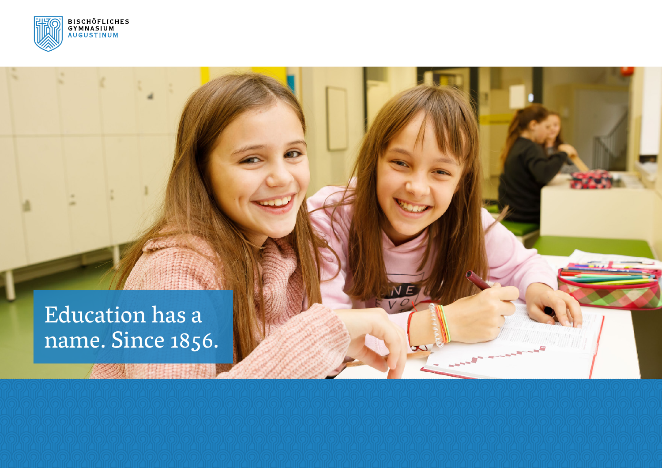

Education has a name. Since 1856.

新用用法

**EL BANKER**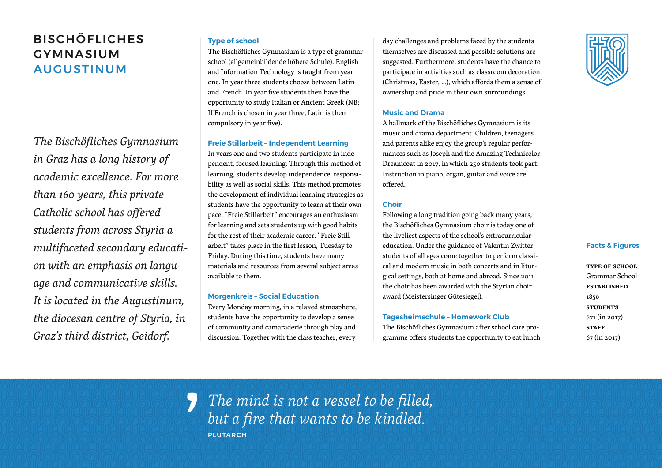# BISCHÖFLICHES GYMNASIUM AUGUSTINUM

*The Bischöfliches Gymnasium in Graz has a long history of academic excellence. For more than 160 years, this private Catholic school has offered students from across Styria a multifaceted secondary education with an emphasis on language and communicative skills. It is located in the Augustinum, the diocesan centre of Styria, in Graz's third district, Geidorf.*

# **Type of school**

The Bischöfliches Gymnasium is a type of grammar school (allgemeinbildende höhere Schule). English and Information Technology is taught from year one. In year three students choose between Latin and French. In year five students then have the opportunity to study Italian or Ancient Greek (NB: If French is chosen in year three, Latin is then compulsory in year five).

# **Freie Stillarbeit – Independent Learning**

In years one and two students participate in independent, focused learning. Through this method of learning, students develop independence, responsibility as well as social skills. This method promotes the development of individual learning strategies as students have the opportunity to learn at their own pace. "Freie Stillarbeit" encourages an enthusiasm for learning and sets students up with good habits for the rest of their academic career. "Freie Stillarbeit" takes place in the first lesson, Tuesday to Friday. During this time, students have many materials and resources from several subject areas available to them.

## **Morgenkreis – Social Education**

Every Monday morning, in a relaxed atmosphere, students have the opportunity to develop a sense of community and camaraderie through play and discussion. Together with the class teacher, every

day challenges and problems faced by the students themselves are discussed and possible solutions are suggested. Furthermore, students have the chance to participate in activities such as classroom decoration (Christmas, Easter, …), which affords them a sense of ownership and pride in their own surroundings.

# **Music and Drama**

A hallmark of the Bischöfliches Gymnasium is its music and drama department. Children, teenagers and parents alike enjoy the group's regular performances such as Joseph and the Amazing Technicolor Dreamcoat in 2017, in which 250 students took part. Instruction in piano, organ, guitar and voice are offered.

## **Choir**

Following a long tradition going back many years, the Bischöfliches Gymnasium choir is today one of the liveliest aspects of the school's extracurricular education. Under the guidance of Valentin Zwitter, students of all ages come together to perform classical and modern music in both concerts and in liturgical settings, both at home and abroad. Since 2011 the choir has been awarded with the Styrian choir award (Meistersinger Gütesiegel).

# **Tagesheimschule – Homework Club**

The Bischöfliches Gymnasium after school care programme offers students the opportunity to eat lunch

## **Facts & Figures**

**type of school** Grammar School **established** 1856 **students** 671 (in 2017) **sTAFF** 67 (in 2017)

*The mind is not a vessel to be filled, but a fire that wants to be kindled.* **PLUTARCH** 5